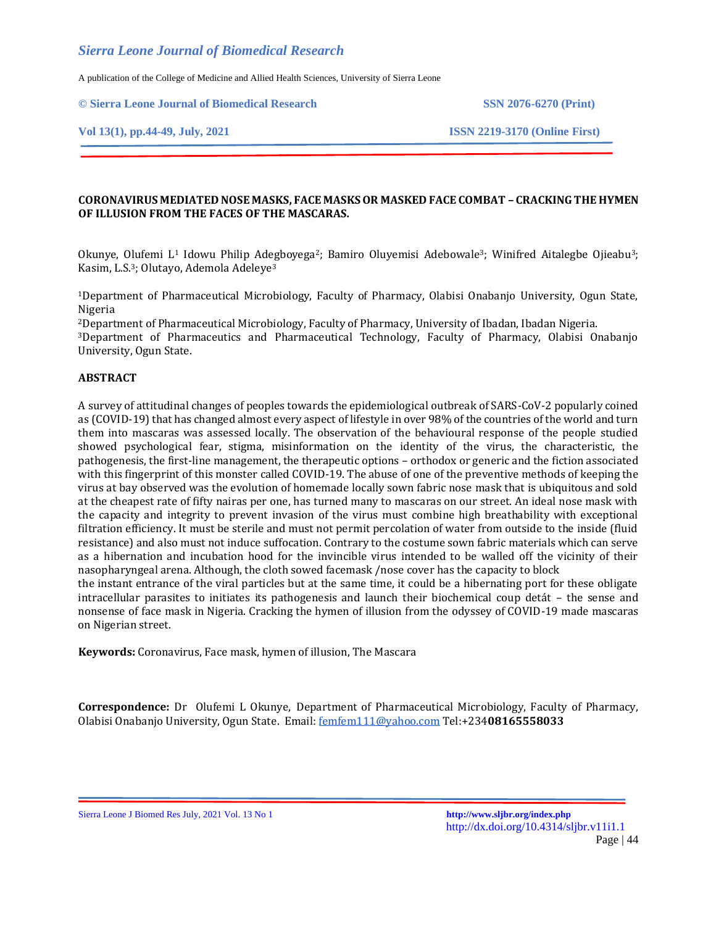A publication of the College of Medicine and Allied Health Sciences, University of Sierra Leone

**© Sierra Leone Journal of Biomedical Research SSN 2076-6270 (Print)**

**Vol 13(1), pp.44-49, July, 2021 ISSN 2219-3170 (Online First)**

### **CORONAVIRUS MEDIATED NOSE MASKS, FACE MASKS OR MASKED FACE COMBAT – CRACKING THE HYMEN OF ILLUSION FROM THE FACES OF THE MASCARAS.**

Okunye, Olufemi L<sup>1</sup> Idowu Philip Adegboyega<sup>2</sup>; Bamiro Oluyemisi Adebowale<sup>3</sup>; Winifred Aitalegbe Ojieabu<sup>3</sup>; Kasim, L.S.<sup>3</sup>; Olutayo, Ademola Adeleye<sup>3</sup>

<sup>1</sup>Department of Pharmaceutical Microbiology, Faculty of Pharmacy, Olabisi Onabanjo University, Ogun State, Nigeria

<sup>2</sup>Department of Pharmaceutical Microbiology, Faculty of Pharmacy, University of Ibadan, Ibadan Nigeria.

<sup>3</sup>Department of Pharmaceutics and Pharmaceutical Technology, Faculty of Pharmacy, Olabisi Onabanjo University, Ogun State.

#### **ABSTRACT**

A survey of attitudinal changes of peoples towards the epidemiological outbreak of SARS-CoV-2 popularly coined as (COVID-19) that has changed almost every aspect of lifestyle in over 98% of the countries of the world and turn them into mascaras was assessed locally. The observation of the behavioural response of the people studied showed psychological fear, stigma, misinformation on the identity of the virus, the characteristic, the pathogenesis, the first-line management, the therapeutic options – orthodox or generic and the fiction associated with this fingerprint of this monster called COVID-19. The abuse of one of the preventive methods of keeping the virus at bay observed was the evolution of homemade locally sown fabric nose mask that is ubiquitous and sold at the cheapest rate of fifty nairas per one, has turned many to mascaras on our street. An ideal nose mask with the capacity and integrity to prevent invasion of the virus must combine high breathability with exceptional filtration efficiency. It must be sterile and must not permit percolation of water from outside to the inside (fluid resistance) and also must not induce suffocation. Contrary to the costume sown fabric materials which can serve as a hibernation and incubation hood for the invincible virus intended to be walled off the vicinity of their nasopharyngeal arena. Although, the cloth sowed facemask /nose cover has the capacity to block

the instant entrance of the viral particles but at the same time, it could be a hibernating port for these obligate intracellular parasites to initiates its pathogenesis and launch their biochemical coup detát – the sense and nonsense of face mask in Nigeria. Cracking the hymen of illusion from the odyssey of COVID-19 made mascaras on Nigerian street.

**Keywords:** Coronavirus, Face mask, hymen of illusion, The Mascara

**Correspondence:** Dr Olufemi L Okunye, Department of Pharmaceutical Microbiology, Faculty of Pharmacy, Olabisi Onabanjo University, Ogun State. Email[: femfem111@yahoo.com](mailto:femfem111@yahoo.com) Tel:+234**08165558033**

Sierra Leone J Biomed Res July, 2021 Vol. 13 No 1 **<http://www.sljbr.org/index.php>**

http://dx.doi.org/10.4314/sljbr.v11i1.1 Page | 44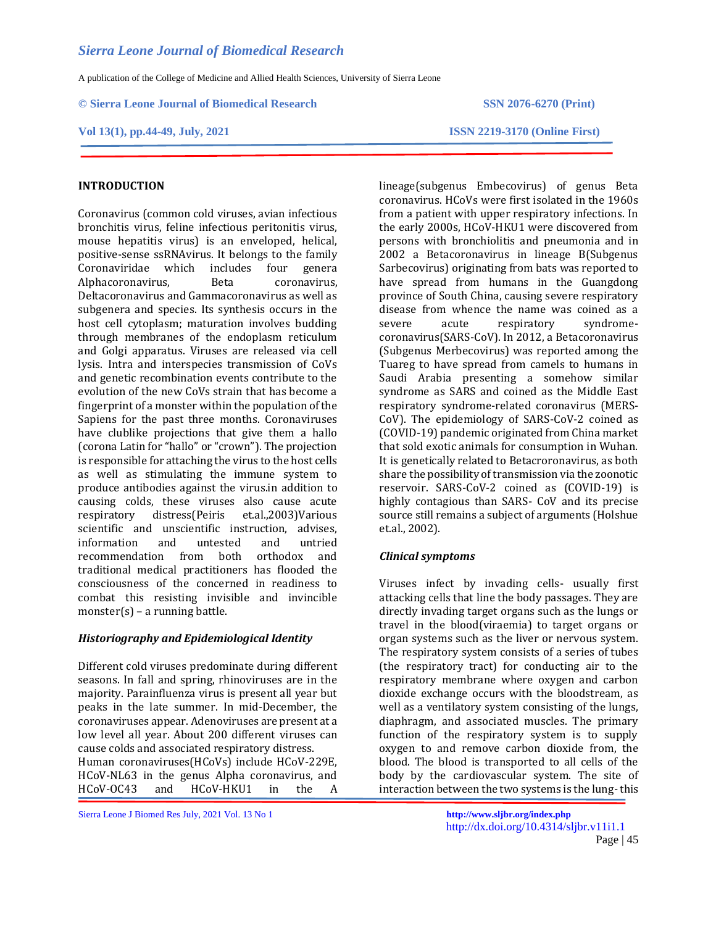A publication of the College of Medicine and Allied Health Sciences, University of Sierra Leone

**© Sierra Leone Journal of Biomedical Research SSN 2076-6270 (Print)**

**Vol 13(1), pp.44-49, July, 2021 ISSN 2219-3170 (Online First)**

# **INTRODUCTION**

Coronavirus (common cold viruses, avian infectious bronchitis virus, feline infectious peritonitis virus, mouse hepatitis virus) is an enveloped, helical, positive-sense ssRNAvirus. It belongs to the family Coronaviridae which includes four genera Alphacoronavirus, Beta coronavirus, Deltacoronavirus and Gammacoronavirus as well as subgenera and species. Its synthesis occurs in the host cell cytoplasm; maturation involves budding through membranes of the endoplasm reticulum and Golgi apparatus. Viruses are released via cell lysis. Intra and interspecies transmission of CoVs and genetic recombination events contribute to the evolution of the new CoVs strain that has become a fingerprint of a monster within the population of the Sapiens for the past three months. Coronaviruses have clublike projections that give them a hallo (corona Latin for "hallo" or "crown"). The projection is responsible for attaching the virus to the host cells as well as stimulating the immune system to produce antibodies against the virus.in addition to causing colds, these viruses also cause acute respiratory distress(Peiris et.al.,2003)Various scientific and unscientific instruction, advises, information and untested and untried recommendation from both orthodox and traditional medical practitioners has flooded the consciousness of the concerned in readiness to combat this resisting invisible and invincible monster(s) – a running battle.

### *Historiography and Epidemiological Identity*

Different cold viruses predominate during different seasons. In fall and spring, rhinoviruses are in the majority. Parainfluenza virus is present all year but peaks in the late summer. In mid-December, the coronaviruses appear. Adenoviruses are present at a low level all year. About 200 different viruses can cause colds and associated respiratory distress. Human coronaviruses(HCoVs) include HCoV-229E, HCoV-NL63 in the genus Alpha coronavirus, and

HCoV-OC43 and HCoV-HKU1 in the A

lineage(subgenus Embecovirus) of genus Beta coronavirus. HCoVs were first isolated in the 1960s from a patient with upper respiratory infections. In the early 2000s, HCoV-HKU1 were discovered from persons with bronchiolitis and pneumonia and in 2002 a Betacoronavirus in lineage B(Subgenus Sarbecovirus) originating from bats was reported to have spread from humans in the Guangdong province of South China, causing severe respiratory disease from whence the name was coined as a severe acute respiratory syndromecoronavirus(SARS-CoV). In 2012, a Betacoronavirus (Subgenus Merbecovirus) was reported among the Tuareg to have spread from camels to humans in Saudi Arabia presenting a somehow similar syndrome as SARS and coined as the Middle East respiratory syndrome-related coronavirus (MERS-CoV). The epidemiology of SARS-CoV-2 coined as (COVID-19) pandemic originated from China market that sold exotic animals for consumption in Wuhan. It is genetically related to Betacroronavirus, as both share the possibility of transmission via the zoonotic reservoir. SARS-CoV-2 coined as (COVID-19) is highly contagious than SARS- CoV and its precise source still remains a subject of arguments (Holshue et.al., 2002).

### *Clinical symptoms*

Viruses infect by invading cells- usually first attacking cells that line the body passages. They are directly invading target organs such as the lungs or travel in the blood(viraemia) to target organs or organ systems such as the liver or nervous system. The respiratory system consists of a series of tubes (the respiratory tract) for conducting air to the respiratory membrane where oxygen and carbon dioxide exchange occurs with the bloodstream, as well as a ventilatory system consisting of the lungs, diaphragm, and associated muscles. The primary function of the respiratory system is to supply oxygen to and remove carbon dioxide from, the blood. The blood is transported to all cells of the body by the cardiovascular system. The site of interaction between the two systems is the lung-this

Sierra Leone J Biomed Res July, 2021 Vol. 13 No 1 **<http://www.sljbr.org/index.php>**

http://dx.doi.org/10.4314/sljbr.v11i1.1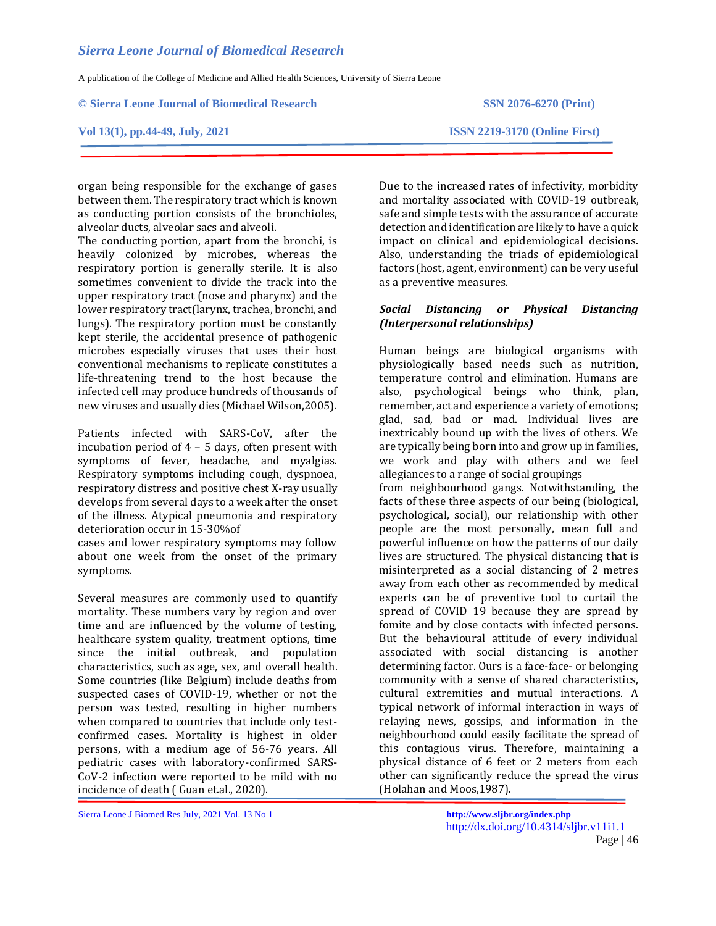A publication of the College of Medicine and Allied Health Sciences, University of Sierra Leone

**© Sierra Leone Journal of Biomedical Research SSN 2076-6270 (Print)**

organ being responsible for the exchange of gases between them. The respiratory tract which is known as conducting portion consists of the bronchioles,

The conducting portion, apart from the bronchi, is heavily colonized by microbes, whereas the respiratory portion is generally sterile. It is also sometimes convenient to divide the track into the upper respiratory tract (nose and pharynx) and the lower respiratory tract(larynx, trachea, bronchi, and lungs). The respiratory portion must be constantly kept sterile, the accidental presence of pathogenic microbes especially viruses that uses their host conventional mechanisms to replicate constitutes a life-threatening trend to the host because the infected cell may produce hundreds of thousands of new viruses and usually dies (Michael Wilson,2005).

Patients infected with SARS-CoV, after the incubation period of 4 – 5 days, often present with symptoms of fever, headache, and myalgias. Respiratory symptoms including cough, dyspnoea, respiratory distress and positive chest X-ray usually develops from several days to a week after the onset of the illness. Atypical pneumonia and respiratory

cases and lower respiratory symptoms may follow about one week from the onset of the primary

Several measures are commonly used to quantify mortality. These numbers vary by region and over time and are influenced by the volume of testing, healthcare system quality, treatment options, time since the initial outbreak, and population characteristics, such as age, sex, and overall health. Some countries (like Belgium) include deaths from suspected cases of COVID-19, whether or not the person was tested, resulting in higher numbers when compared to countries that include only testconfirmed cases. Mortality is highest in older persons, with a medium age of 56-76 years. All pediatric cases with laboratory-confirmed SARS-CoV-2 infection were reported to be mild with no

deterioration occur in 15-30%of

symptoms.

alveolar ducts, alveolar sacs and alveoli.

incidence of death ( Guan et.al., 2020).

Sierra Leone J Biomed Res July, 2021 Vol. 13 No 1 **<http://www.sljbr.org/index.php>**

Due to the increased rates of infectivity, morbidity and mortality associated with COVID-19 outbreak, safe and simple tests with the assurance of accurate detection and identification are likely to have a quick impact on clinical and epidemiological decisions. Also, understanding the triads of epidemiological factors (host, agent, environment) can be very useful as a preventive measures.

# *Social Distancing or Physical Distancing (Interpersonal relationships)*

Human beings are biological organisms with physiologically based needs such as nutrition, temperature control and elimination. Humans are also, psychological beings who think, plan, remember, act and experience a variety of emotions; glad, sad, bad or mad. Individual lives are inextricably bound up with the lives of others. We are typically being born into and grow up in families, we work and play with others and we feel allegiances to a range of social groupings

from neighbourhood gangs. Notwithstanding, the facts of these three aspects of our being (biological, psychological, social), our relationship with other people are the most personally, mean full and powerful influence on how the patterns of our daily lives are structured. The physical distancing that is misinterpreted as a social distancing of 2 metres away from each other as recommended by medical experts can be of preventive tool to curtail the spread of COVID 19 because they are spread by fomite and by close contacts with infected persons. But the behavioural attitude of every individual associated with social distancing is another determining factor. Ours is a face-face- or belonging community with a sense of shared characteristics, cultural extremities and mutual interactions. A typical network of informal interaction in ways of relaying news, gossips, and information in the neighbourhood could easily facilitate the spread of this contagious virus. Therefore, maintaining a physical distance of 6 feet or 2 meters from each other can significantly reduce the spread the virus (Holahan and Moos,1987).

http://dx.doi.org/10.4314/sljbr.v11i1.1

# **Vol 13(1), pp.44-49, July, 2021 ISSN 2219-3170 (Online First)**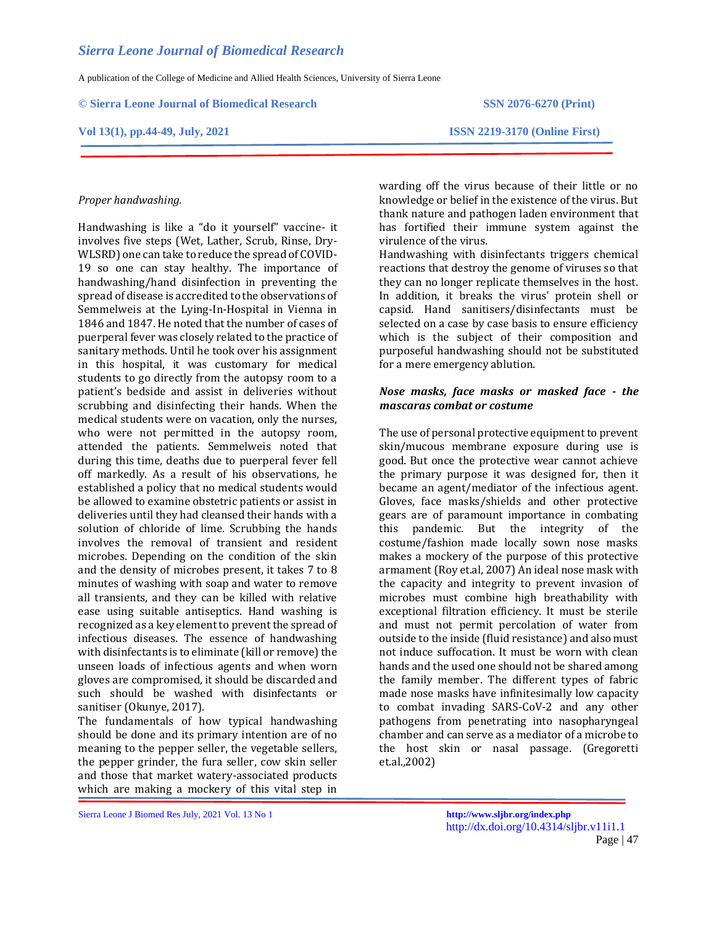A publication of the College of Medicine and Allied Health Sciences, University of Sierra Leone

**© Sierra Leone Journal of Biomedical Research SSN 2076-6270 (Print)**

#### **Vol 13(1), pp.44-49, July, 2021 ISSN 2219-3170 (Online First)**

#### *Proper handwashing.*

Handwashing is like a "do it yourself" vaccine- it involves five steps (Wet, Lather, Scrub, Rinse, Dry-WLSRD) one can take to reduce the spread of COVID-19 so one can stay healthy. The importance of handwashing/hand disinfection in preventing the spread of disease is accredited to the observations of Semmelweis at the Lying-In-Hospital in Vienna in 1846 and 1847. He noted that the number of cases of puerperal fever was closely related to the practice of sanitary methods. Until he took over his assignment in this hospital, it was customary for medical students to go directly from the autopsy room to a patient's bedside and assist in deliveries without scrubbing and disinfecting their hands. When the medical students were on vacation, only the nurses, who were not permitted in the autopsy room, attended the patients. Semmelweis noted that during this time, deaths due to puerperal fever fell off markedly. As a result of his observations, he established a policy that no medical students would be allowed to examine obstetric patients or assist in deliveries until they had cleansed their hands with a solution of chloride of lime. Scrubbing the hands involves the removal of transient and resident microbes. Depending on the condition of the skin and the density of microbes present, it takes 7 to 8 minutes of washing with soap and water to remove all transients, and they can be killed with relative ease using suitable antiseptics. Hand washing is recognized as a key element to prevent the spread of infectious diseases. The essence of handwashing with disinfectants is to eliminate (kill or remove) the unseen loads of infectious agents and when worn gloves are compromised, it should be discarded and such should be washed with disinfectants or sanitiser (Okunye, 2017).

The fundamentals of how typical handwashing should be done and its primary intention are of no meaning to the pepper seller, the vegetable sellers, the pepper grinder, the fura seller, cow skin seller and those that market watery-associated products which are making a mockery of this vital step in

warding off the virus because of their little or no knowledge or belief in the existence of the virus. But thank nature and pathogen laden environment that has fortified their immune system against the virulence of the virus.

Handwashing with disinfectants triggers chemical reactions that destroy the genome of viruses so that they can no longer replicate themselves in the host. In addition, it breaks the virus' protein shell or capsid. Hand sanitisers/disinfectants must be selected on a case by case basis to ensure efficiency which is the subject of their composition and purposeful handwashing should not be substituted for a mere emergency ablution.

### *Nose masks, face masks or masked face - the mascaras combat or costume*

The use of personal protective equipment to prevent skin/mucous membrane exposure during use is good. But once the protective wear cannot achieve the primary purpose it was designed for, then it became an agent/mediator of the infectious agent. Gloves, face masks/shields and other protective gears are of paramount importance in combating this pandemic. But the integrity of the costume/fashion made locally sown nose masks makes a mockery of the purpose of this protective armament (Roy et.al, 2007) An ideal nose mask with the capacity and integrity to prevent invasion of microbes must combine high breathability with exceptional filtration efficiency. It must be sterile and must not permit percolation of water from outside to the inside (fluid resistance) and also must not induce suffocation. It must be worn with clean hands and the used one should not be shared among the family member. The different types of fabric made nose masks have infinitesimally low capacity to combat invading SARS-CoV-2 and any other pathogens from penetrating into nasopharyngeal chamber and can serve as a mediator of a microbe to the host skin or nasal passage. (Gregoretti et.al.,2002)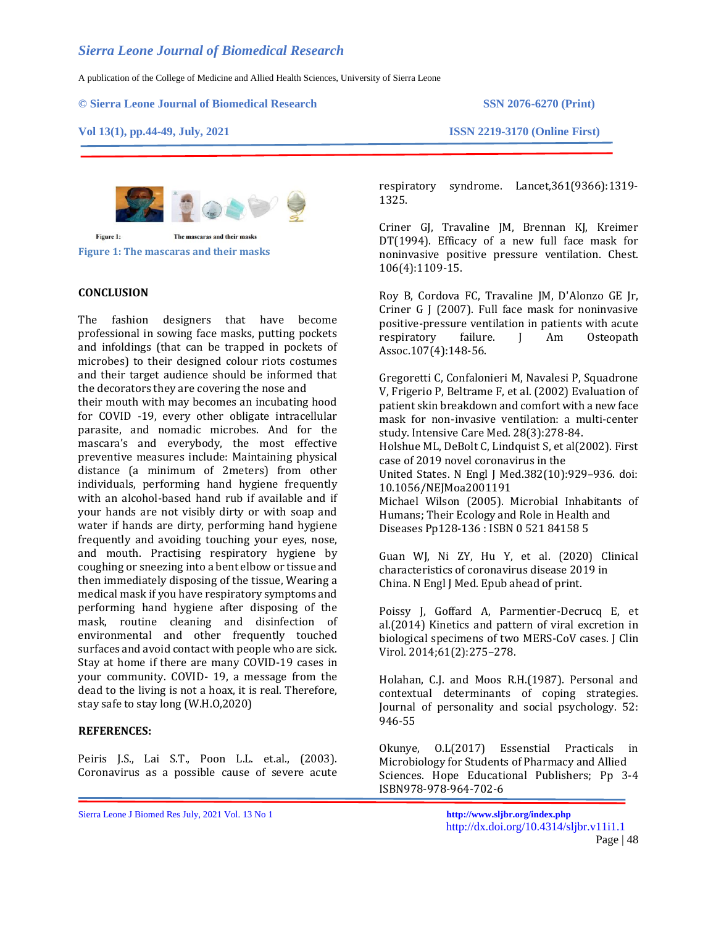A publication of the College of Medicine and Allied Health Sciences, University of Sierra Leone

#### **© Sierra Leone Journal of Biomedical Research SSN 2076-6270 (Print)**

#### **Vol 13(1), pp.44-49, July, 2021 ISSN 2219-3170 (Online First)**



**Figure 1: The mascaras and their masks**

#### **CONCLUSION**

The fashion designers that have become professional in sowing face masks, putting pockets and infoldings (that can be trapped in pockets of microbes) to their designed colour riots costumes and their target audience should be informed that the decorators they are covering the nose and

their mouth with may becomes an incubating hood for COVID -19, every other obligate intracellular parasite, and nomadic microbes. And for the mascara's and everybody, the most effective preventive measures include: Maintaining physical distance (a minimum of 2meters) from other individuals, performing hand hygiene frequently with an alcohol-based hand rub if available and if your hands are not visibly dirty or with soap and water if hands are dirty, performing hand hygiene frequently and avoiding touching your eyes, nose, and mouth. Practising respiratory hygiene by coughing or sneezing into a bent elbow or tissue and then immediately disposing of the tissue, Wearing a medical mask if you have respiratory symptoms and performing hand hygiene after disposing of the mask, routine cleaning and disinfection of environmental and other frequently touched surfaces and avoid contact with people who are sick. Stay at home if there are many COVID-19 cases in your community. COVID- 19, a message from the dead to the living is not a hoax, it is real. Therefore, stay safe to stay long (W.H.O,2020)

#### **REFERENCES:**

Peiris J.S., Lai S.T., Poon L.L. et.al., (2003). Coronavirus as a possible cause of severe acute

respiratory syndrome. Lancet,361(9366):1319- 1325.

Criner GJ, Travaline JM, Brennan KJ, Kreimer DT(1994). Efficacy of a new full face mask for noninvasive positive pressure ventilation. Chest. 106(4):1109-15.

Roy B, Cordova FC, Travaline JM, D'Alonzo GE Jr, Criner G J (2007). Full face mask for noninvasive positive-pressure ventilation in patients with acute respiratory failure. J Am Osteopath Assoc.107(4):148-56.

Gregoretti C, Confalonieri M, Navalesi P, Squadrone V, Frigerio P, Beltrame F, et al. (2002) Evaluation of patient skin breakdown and comfort with a new face mask for non-invasive ventilation: a multi-center study. Intensive Care Med. 28(3):278-84. Holshue ML, DeBolt C, Lindquist S, et al(2002). First case of 2019 novel coronavirus in the United States. N Engl J Med.382(10):929–936. doi: 10.1056/NEJMoa2001191 Michael Wilson (2005). Microbial Inhabitants of Humans; Their Ecology and Role in Health and Diseases Pp128-136 : ISBN 0 521 84158 5

Guan WJ, Ni ZY, Hu Y, et al. (2020) Clinical characteristics of coronavirus disease 2019 in China. N Engl J Med. Epub ahead of print.

Poissy J, Goffard A, Parmentier-Decrucq E, et al.(2014) Kinetics and pattern of viral excretion in biological specimens of two MERS-CoV cases. J Clin Virol. 2014;61(2):275–278.

Holahan, C.J. and Moos R.H.(1987). Personal and contextual determinants of coping strategies. Journal of personality and social psychology. 52: 946-55

Okunye, O.L(2017) Essenstial Practicals in Microbiology for Students of Pharmacy and Allied Sciences. Hope Educational Publishers; Pp 3-4 ISBN978-978-964-702-6